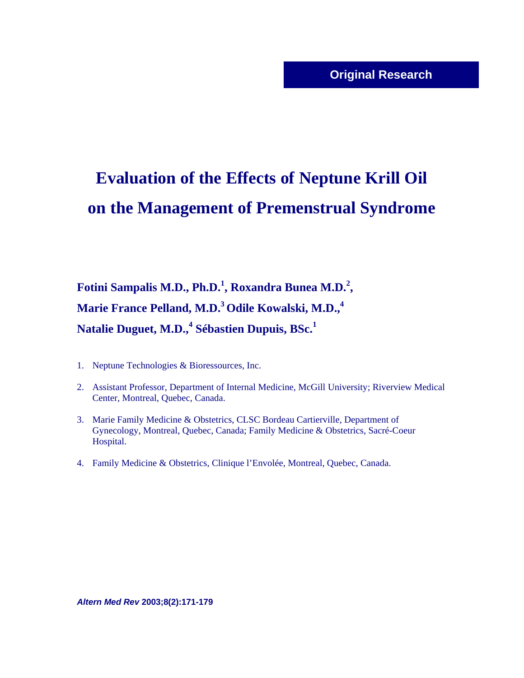# **Evaluation of the Effects of Neptune Krill Oil on the Management of Premenstrual Syndrome**

**Fotini Sampalis M.D., Ph.D.<sup>1</sup> , Roxandra Bunea M.D.2 , Marie France Pelland, M.D.3 Odile Kowalski, M.D.,4 Natalie Duguet, M.D.,<sup>4</sup> Sébastien Dupuis, BSc.<sup>1</sup>**

- 1. Neptune Technologies & Bioressources, Inc.
- 2. Assistant Professor, Department of Internal Medicine, McGill University; Riverview Medical Center, Montreal, Quebec, Canada.
- 3. Marie Family Medicine & Obstetrics, CLSC Bordeau Cartierville, Department of Gynecology, Montreal, Quebec, Canada; Family Medicine & Obstetrics, Sacré-Coeur Hospital.
- 4. Family Medicine & Obstetrics, Clinique l'Envolée, Montreal, Quebec, Canada.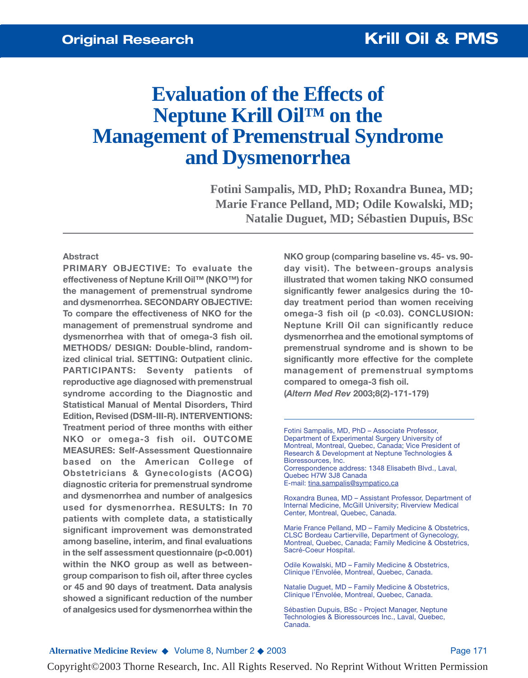# **Evaluation of the Effects of Neptune Krill Oil™ on the Management of Premenstrual Syndrome and Dysmenorrhea**

**Fotini Sampalis, MD, PhD; Roxandra Bunea, MD; Marie France Pelland, MD; Odile Kowalski, MD; Natalie Duguet, MD; Sébastien Dupuis, BSc**

### **Abstract**

**PRIMARY OBJECTIVE: To evaluate the effectiveness of Neptune Krill Oil™ (NKO™) for the management of premenstrual syndrome and dysmenorrhea. SECONDARY OBJECTIVE: To compare the effectiveness of NKO for the management of premenstrual syndrome and dysmenorrhea with that of omega-3 fish oil. METHODS/ DESIGN: Double-blind, randomized clinical trial. SETTING: Outpatient clinic. PARTICIPANTS: Seventy patients of reproductive age diagnosed with premenstrual syndrome according to the Diagnostic and Statistical Manual of Mental Disorders, Third Edition, Revised (DSM-III-R). INTERVENTIONS: Treatment period of three months with either NKO or omega-3 fish oil. OUTCOME MEASURES: Self-Assessment Questionnaire based on the American College of Obstetricians & Gynecologists (ACOG) diagnostic criteria for premenstrual syndrome and dysmenorrhea and number of analgesics used for dysmenorrhea. RESULTS: In 70 patients with complete data, a statistically significant improvement was demonstrated among baseline, interim, and final evaluations in the self assessment questionnaire (p<0.001) within the NKO group as well as betweengroup comparison to fish oil, after three cycles or 45 and 90 days of treatment. Data analysis showed a significant reduction of the number of analgesics used for dysmenorrhea within the**

**NKO group (comparing baseline vs. 45- vs. 90 day visit). The between-groups analysis illustrated that women taking NKO consumed significantly fewer analgesics during the 10 day treatment period than women receiving omega-3 fish oil (p <0.03). CONCLUSION: Neptune Krill Oil can significantly reduce dysmenorrhea and the emotional symptoms of premenstrual syndrome and is shown to be significantly more effective for the complete management of premenstrual symptoms compared to omega-3 fish oil. (***Altern Med Rev* **2003;8(2)-171-179)**

Fotini Sampalis, MD, PhD – Associate Professor, Department of Experimental Surgery University of Montreal, Montreal, Quebec, Canada; Vice President of Research & Development at Neptune Technologies & Bioressources, Inc. Correspondence address: 1348 Elisabeth Blvd., Laval, Quebec H7W 3J8 Canada

E-mail: tina.sampalis@sympatico.ca

Roxandra Bunea, MD – Assistant Professor, Department of Internal Medicine, McGill University; Riverview Medical Center, Montreal, Quebec, Canada.

Marie France Pelland, MD – Family Medicine & Obstetrics, CLSC Bordeau Cartierville, Department of Gynecology, Montreal, Quebec, Canada; Family Medicine & Obstetrics, Sacré-Coeur Hospital.

Odile Kowalski, MD – Family Medicine & Obstetrics, Clinique l'Envolée, Montreal, Quebec, Canada.

Natalie Duguet, MD – Family Medicine & Obstetrics, Clinique l'Envolée, Montreal, Quebec, Canada.

Sébastien Dupuis, BSc - Project Manager, Neptune Technologies & Bioressources Inc., Laval, Quebec, Canada.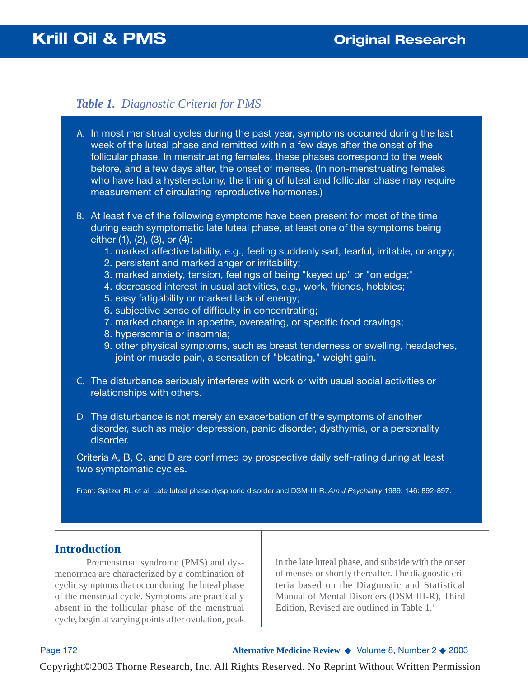# *Table 1. Diagnostic Criteria for PMS*

- A. In most menstrual cycles during the past year, symptoms occurred during the last week of the luteal phase and remitted within a few days after the onset of the follicular phase. In menstruating females, these phases correspond to the week before, and a few days after, the onset of menses. (In non-menstruating females who have had a hysterectomy, the timing of luteal and follicular phase may require measurement of circulating reproductive hormones.)
- B. At least five of the following symptoms have been present for most of the time during each symptomatic late luteal phase, at least one of the symptoms being either (1), (2), (3), or (4):
	- 1. marked affective lability, e.g., feeling suddenly sad, tearful, irritable, or angry;
	- 2. persistent and marked anger or irritability;
	- 3. marked anxiety, tension, feelings of being "keyed up" or "on edge;"
	- 4. decreased interest in usual activities, e.g., work, friends, hobbies;
	- 5. easy fatigability or marked lack of energy;
	- 6. subjective sense of difficulty in concentrating;
	- 7. marked change in appetite, overeating, or specific food cravings;
	- 8. hypersomnia or insomnia;
	- 9. other physical symptoms, such as breast tenderness or swelling, headaches, joint or muscle pain, a sensation of "bloating," weight gain.
- The disturbance seriously interferes with work or with usual social activities or C. relationships with others.
- D. The disturbance is not merely an exacerbation of the symptoms of another disorder, such as major depression, panic disorder, dysthymia, or a personality disorder.

Criteria A, B, C, and D are confirmed by prospective daily self-rating during at least two symptomatic cycles.

From: Spitzer RL et al. Late luteal phase dysphoric disorder and DSM-III-R. *Am J Psychiatry* 1989; 146: 892-897.

# **Introduction**

Premenstrual syndrome (PMS) and dysmenorrhea are characterized by a combination of cyclic symptoms that occur during the luteal phase of the menstrual cycle. Symptoms are practically absent in the follicular phase of the menstrual cycle, begin at varying points after ovulation, peak in the late luteal phase, and subside with the onset of menses or shortly thereafter. The diagnostic criteria based on the Diagnostic and Statistical Manual of Mental Disorders (DSM III-R), Third Edition, Revised are outlined in Table  $1<sup>1</sup>$ 

Page 172 **Alternative Medicine Review** ◆ Volume 8, Number 2 ◆ 2003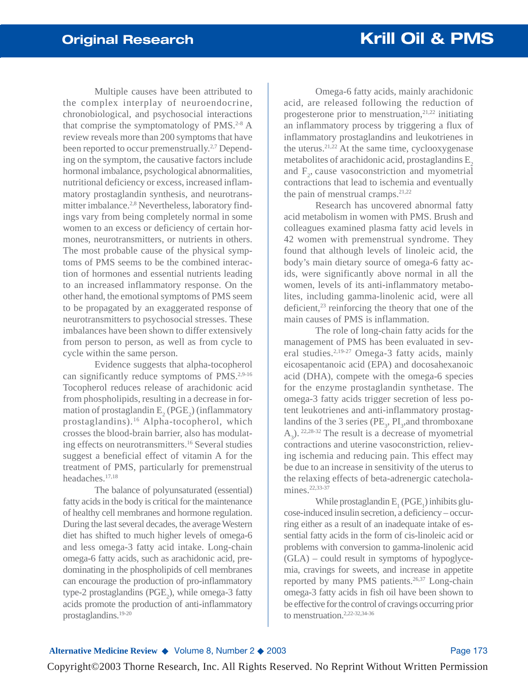Multiple causes have been attributed to the complex interplay of neuroendocrine, chronobiological, and psychosocial interactions that comprise the symptomatology of PMS.<sup>2-8</sup> A review reveals more than 200 symptoms that have been reported to occur premenstrually.<sup>2,7</sup> Depending on the symptom, the causative factors include hormonal imbalance, psychological abnormalities, nutritional deficiency or excess, increased inflammatory prostaglandin synthesis, and neurotransmitter imbalance.<sup>2,8</sup> Nevertheless, laboratory findings vary from being completely normal in some women to an excess or deficiency of certain hormones, neurotransmitters, or nutrients in others. The most probable cause of the physical symptoms of PMS seems to be the combined interaction of hormones and essential nutrients leading to an increased inflammatory response. On the other hand, the emotional symptoms of PMS seem to be propagated by an exaggerated response of neurotransmitters to psychosocial stresses. These imbalances have been shown to differ extensively from person to person, as well as from cycle to cycle within the same person.

Evidence suggests that alpha-tocopherol can significantly reduce symptoms of PMS.<sup>2,9-16</sup> Tocopherol reduces release of arachidonic acid from phospholipids, resulting in a decrease in formation of prostaglandin  $E_2(PGE_2)$  (inflammatory prostaglandins).16 Alpha-tocopherol, which crosses the blood-brain barrier, also has modulating effects on neurotransmitters.16 Several studies suggest a beneficial effect of vitamin A for the treatment of PMS, particularly for premenstrual headaches.17,18

The balance of polyunsaturated (essential) fatty acids in the body is critical for the maintenance of healthy cell membranes and hormone regulation. During the last several decades, the average Western diet has shifted to much higher levels of omega-6 and less omega-3 fatty acid intake. Long-chain omega-6 fatty acids, such as arachidonic acid, predominating in the phospholipids of cell membranes can encourage the production of pro-inflammatory type-2 prostaglandins ( $PGE_2$ ), while omega-3 fatty acids promote the production of anti-inflammatory prostaglandins.19-20

Omega-6 fatty acids, mainly arachidonic acid, are released following the reduction of progesterone prior to menstruation, $2^{1,22}$  initiating an inflammatory process by triggering a flux of inflammatory prostaglandins and leukotrienes in the uterus.21,22 At the same time, cyclooxygenase metabolites of arachidonic acid, prostaglandins  $E<sub>2</sub>$ and  $F_2$ , cause vasoconstriction and myometrial contractions that lead to ischemia and eventually the pain of menstrual cramps. $21,22$ 

Research has uncovered abnormal fatty acid metabolism in women with PMS. Brush and colleagues examined plasma fatty acid levels in 42 women with premenstrual syndrome. They found that although levels of linoleic acid, the body's main dietary source of omega-6 fatty acids, were significantly above normal in all the women, levels of its anti-inflammatory metabolites, including gamma-linolenic acid, were all deficient, $2<sup>3</sup>$  reinforcing the theory that one of the main causes of PMS is inflammation.

The role of long-chain fatty acids for the management of PMS has been evaluated in several studies.2,19-27 Omega-3 fatty acids, mainly eicosapentanoic acid (EPA) and docosahexanoic acid (DHA), compete with the omega-6 species for the enzyme prostaglandin synthetase. The omega-3 fatty acids trigger secretion of less potent leukotrienes and anti-inflammatory prostaglandins of the 3 series ( $PE_3$ ,  $PI_3$ , and thromboxane  $A_3$ ). <sup>22,28-32</sup> The result is a decrease of myometrial contractions and uterine vasoconstriction, relieving ischemia and reducing pain. This effect may be due to an increase in sensitivity of the uterus to the relaxing effects of beta-adrenergic catecholamines.<sup>22,33-37</sup>

While prostaglandin  $E_1$  (PGE<sub>1</sub>) inhibits glucose-induced insulin secretion, a deficiency – occurring either as a result of an inadequate intake of essential fatty acids in the form of cis-linoleic acid or problems with conversion to gamma-linolenic acid (GLA) – could result in symptoms of hypoglycemia, cravings for sweets, and increase in appetite reported by many PMS patients.<sup>26,37</sup> Long-chain omega-3 fatty acids in fish oil have been shown to be effective for the control of cravings occurring prior to menstruation.2,22-32,34-36

### **Alternative Medicine Review ◆ Volume 8, Number 2 ◆ 2003** Page 173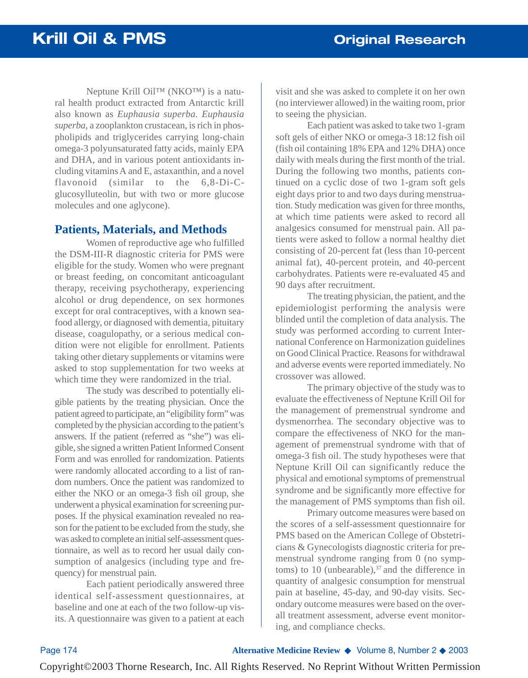Neptune Krill Oil™ (NKO™) is a natural health product extracted from Antarctic krill also known as *Euphausia superba. Euphausia superba*, a zooplankton crustacean, is rich in phospholipids and triglycerides carrying long-chain omega-3 polyunsaturated fatty acids, mainly EPA and DHA, and in various potent antioxidants including vitamins A and E, astaxanthin, and a novel flavonoid (similar to the 6,8-Di-Cglucosylluteolin, but with two or more glucose molecules and one aglycone).

### **Patients, Materials, and Methods**

Women of reproductive age who fulfilled the DSM-III-R diagnostic criteria for PMS were eligible for the study. Women who were pregnant or breast feeding, on concomitant anticoagulant therapy, receiving psychotherapy, experiencing alcohol or drug dependence, on sex hormones except for oral contraceptives, with a known seafood allergy, or diagnosed with dementia, pituitary disease, coagulopathy, or a serious medical condition were not eligible for enrollment. Patients taking other dietary supplements or vitamins were asked to stop supplementation for two weeks at which time they were randomized in the trial.

The study was described to potentially eligible patients by the treating physician. Once the patient agreed to participate, an "eligibility form" was completed by the physician according to the patient's answers. If the patient (referred as "she") was eligible, she signed a written Patient Informed Consent Form and was enrolled for randomization. Patients were randomly allocated according to a list of random numbers. Once the patient was randomized to either the NKO or an omega-3 fish oil group, she underwent a physical examination for screening purposes. If the physical examination revealed no reason for the patient to be excluded from the study, she was asked to complete an initial self-assessment questionnaire, as well as to record her usual daily consumption of analgesics (including type and frequency) for menstrual pain.

Each patient periodically answered three identical self-assessment questionnaires, at baseline and one at each of the two follow-up visits. A questionnaire was given to a patient at each

visit and she was asked to complete it on her own (no interviewer allowed) in the waiting room, prior to seeing the physician.

Each patient was asked to take two 1-gram soft gels of either NKO or omega-3 18:12 fish oil (fish oil containing 18% EPA and 12% DHA) once daily with meals during the first month of the trial. During the following two months, patients continued on a cyclic dose of two 1-gram soft gels eight days prior to and two days during menstruation. Study medication was given for three months, at which time patients were asked to record all analgesics consumed for menstrual pain. All patients were asked to follow a normal healthy diet consisting of 20-percent fat (less than 10-percent animal fat), 40-percent protein, and 40-percent carbohydrates. Patients were re-evaluated 45 and 90 days after recruitment.

The treating physician, the patient, and the epidemiologist performing the analysis were blinded until the completion of data analysis. The study was performed according to current International Conference on Harmonization guidelines on Good Clinical Practice. Reasons for withdrawal and adverse events were reported immediately. No crossover was allowed.

The primary objective of the study was to evaluate the effectiveness of Neptune Krill Oil for the management of premenstrual syndrome and dysmenorrhea. The secondary objective was to compare the effectiveness of NKO for the management of premenstrual syndrome with that of omega-3 fish oil. The study hypotheses were that Neptune Krill Oil can significantly reduce the physical and emotional symptoms of premenstrual syndrome and be significantly more effective for the management of PMS symptoms than fish oil.

Primary outcome measures were based on the scores of a self-assessment questionnaire for PMS based on the American College of Obstetricians & Gynecologists diagnostic criteria for premenstrual syndrome ranging from 0 (no symptoms) to 10 (unbearable), $37$  and the difference in quantity of analgesic consumption for menstrual pain at baseline, 45-day, and 90-day visits. Secondary outcome measures were based on the overall treatment assessment, adverse event monitoring, and compliance checks.

Page 174 **Alternative Medicine Review** ◆ Volume 8, Number 2 ◆ 2003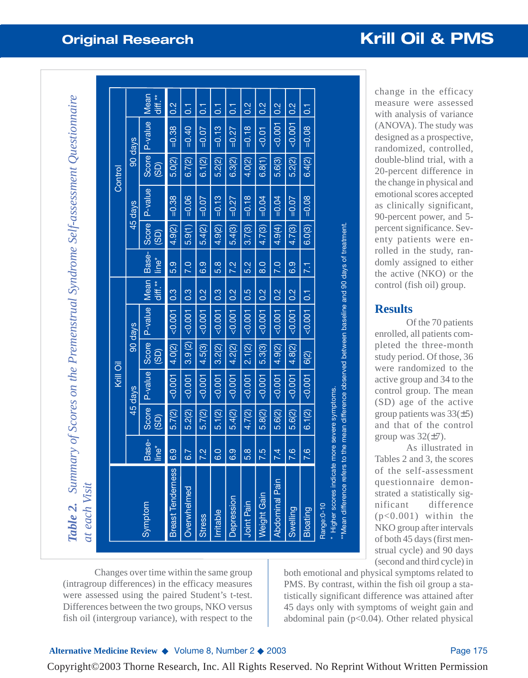|                                                             |                   |               | Krill Oil |                         |         |                 |                  |               |          | Control |               |                 |
|-------------------------------------------------------------|-------------------|---------------|-----------|-------------------------|---------|-----------------|------------------|---------------|----------|---------|---------------|-----------------|
|                                                             |                   |               | 45 days   |                         | 90 days |                 |                  |               | 45 days  |         | 90 days       |                 |
| Symptom                                                     | Base-<br>tine*    | Score<br>(35) | P-value   | Score<br>$\overline{3}$ | P-value | Mean<br>diff.** | Base-<br>line*   | Score<br>(GS) | P-value  | (35)    | Score P-value | Mean<br>diff.** |
| ဖ<br><b>Breast Tendernes</b>                                | 6.9               | 5.7(2)        | < 0.001   | 4.0(2)                  | < 0.001 | 0.3             | 5.9              | 4.9(2)        | $=0.38$  | 5.0(2)  | $=0.38$       | 0.2             |
| Overwhelmed                                                 | 6.7               | 5.2(2)        | < 0.001   | 3.9(2)                  | < 0.001 | 0.3             | 7.0              | 5.9(1)        | $=0.06$  | 6.7(2)  | $= 0.40$      | $\overline{c}$  |
| <b>Stress</b>                                               | 7.2               | 5.7(2)        | 500.007   | 4.5(3)                  | < 0.001 | 0.2             | 6.9              | 5.4(2)        | $=0.07$  | 6.1(2)  | $=0.07$       | $\overline{5}$  |
| Irritable                                                   | 0.5               | 5.1(2)        | < 0.001   | 3.2(2)                  | < 0.001 | 0.3             | $\overline{5.8}$ | 4.9(2)        | $= 0.13$ | 5.2(2)  | $= 0.13$      | $\overline{G}$  |
| Depression                                                  | $\overline{6}$ .9 | 5.4(2)        | 500.007   | 4.2(2)                  | < 0.001 | $\frac{2}{3}$   | 7.2              | 5.4(3)        | $=0.27$  | 6.3(2)  | $=0.27$       | 5               |
| Joint Pain                                                  | 5.8               | 4.7(2)        | < 0.001   | 2.1(2)                  | < 0.001 | 0.5             | 5.2              | 3.7(3)        | $= 0.18$ | 4.0(2)  | $= 0.18$      | $\frac{2}{10}$  |
| <b>Weight Gain</b>                                          | 7.5               | 5.8(2)        | < 0.001   | 5.3(3)                  | < 0.001 | 0.2             | $\frac{0}{8}$    | 4.7(3)        | $=0.04$  | 6.8(1)  | < 0.01        | 0.2             |
| Abdominal Pain                                              | 7.4               | 5.6(2)        | < 0.001   | 4.9(2)                  | < 0.001 | 0.2             | 7.0              | 4.9(4)        | $=0.04$  | 5.6(3)  | < 0.001       | 0.2             |
| Swelling                                                    | 7.6               | 5.6(2)        | < 0.001   | 4.8(2)                  | < 0.001 | 0.2             | 6.9              | 4.7(3)        | $=0.07$  | 5.2(2)  | < 0.001       | $\frac{2}{3}$   |
| <b>Bloating</b>                                             | 7.6               | 6.1(2)        | < 0.001   | 6(2)                    | < 0.001 | $\overline{c}$  | 7.1              | 6.0(3)        | $=0.08$  | 6.4(2)  | $=0.08$       | $\overline{c}$  |
| Higher scores indicate more severe symptoms.<br>Range: 0-10 |                   |               |           |                         |         |                 |                  |               |          |         |               |                 |

**Original Research Communication Communication Research Research Research Research Research Research Research Research Research Research Research Research Research Research Research Research Research Research Research Rese** 

change in the efficacy measure were assessed with analysis of variance (ANOVA). The study was designed as a prospective, randomized, controlled, double-blind trial, with a 20-percent difference in the change in physical and emotional scores accepted as clinically significant, 90-percent power, and 5 percent significance. Seventy patients were enrolled in the study, randomly assigned to either the active (NKO) or the control (fish oil) group.

### **Results**

Of the 70 patients enrolled, all patients completed the three-month study period. Of those, 36 were randomized to the active group and 34 to the control group. The mean (SD) age of the active group patients was  $33(\pm 5)$ and that of the control group was  $32(\pm 7)$ .

As illustrated in Tables 2 and 3, the scores of the self-assessment questionnaire demonstrated a statistically significant difference (p<0.001) within the NKO group after intervals of both 45 days (first menstrual cycle) and 90 days (second and third cycle) in

both emotional and physical symptoms related to PMS. By contrast, within the fish oil group a statistically significant difference was attained after 45 days only with symptoms of weight gain and abdominal pain ( $p<0.04$ ). Other related physical

Changes over time within the same group (intragroup differences) in the efficacy measures were assessed using the paired Student's t-test. Differences between the two groups, NKO versus fish oil (intergroup variance), with respect to the

### **Alternative Medicine Review ◆ Volume 8, Number 2 ◆ 2003** Page 175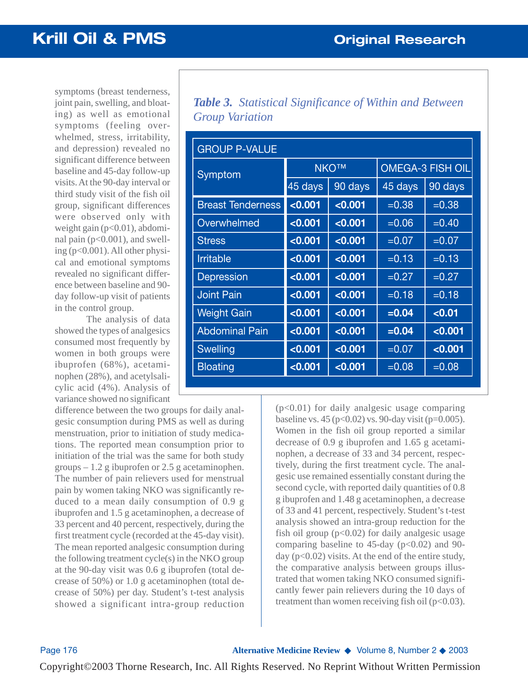symptoms (breast tenderness, joint pain, swelling, and bloating) as well as emotional symptoms (feeling overwhelmed, stress, irritability, and depression) revealed no significant difference between baseline and 45-day follow-up visits. At the 90-day interval or third study visit of the fish oil group, significant differences were observed only with weight gain (p<0.01), abdominal pain  $(p<0.001)$ , and swelling (p<0.001). All other physical and emotional symptoms revealed no significant difference between baseline and 90 day follow-up visit of patients in the control group.

The analysis of data showed the types of analgesics consumed most frequently by women in both groups were ibuprofen (68%), acetaminophen (28%), and acetylsalicylic acid (4%). Analysis of variance showed no significant

difference between the two groups for daily analgesic consumption during PMS as well as during menstruation, prior to initiation of study medications. The reported mean consumption prior to initiation of the trial was the same for both study groups  $-1.2$  g ibuprofen or 2.5 g acetaminophen. The number of pain relievers used for menstrual pain by women taking NKO was significantly reduced to a mean daily consumption of 0.9 g ibuprofen and 1.5 g acetaminophen, a decrease of 33 percent and 40 percent, respectively, during the first treatment cycle (recorded at the 45-day visit). The mean reported analgesic consumption during the following treatment cycle(s) in the NKO group at the 90-day visit was 0.6 g ibuprofen (total decrease of 50%) or 1.0 g acetaminophen (total decrease of 50%) per day. Student's t-test analysis showed a significant intra-group reduction

*Table 3. Statistical Significance of Within and Between Group Variation*

| <b>GROUP P-VALUE</b>     |             |         |                         |          |  |  |
|--------------------------|-------------|---------|-------------------------|----------|--|--|
| Symptom                  | <b>NKO™</b> |         | <b>OMEGA-3 FISH OIL</b> |          |  |  |
|                          | 45 days     | 90 days | 45 days                 | 90 days  |  |  |
| <b>Breast Tenderness</b> | < 0.001     | < 0.001 | $=0.38$                 | $=0.38$  |  |  |
| Overwhelmed              | < 0.001     | < 0.001 | $=0.06$                 | $= 0.40$ |  |  |
| <b>Stress</b>            | < 0.001     | < 0.001 | $=0.07$                 | $=0.07$  |  |  |
| <b>Irritable</b>         | < 0.001     | < 0.001 | $= 0.13$                | $= 0.13$ |  |  |
| Depression               | < 0.001     | < 0.001 | $=0.27$                 | $=0.27$  |  |  |
| <b>Joint Pain</b>        | < 0.001     | < 0.001 | $=0.18$                 | $= 0.18$ |  |  |
| <b>Weight Gain</b>       | < 0.001     | < 0.001 | $= 0.04$                | < 0.01   |  |  |
| <b>Abdominal Pain</b>    | < 0.001     | < 0.001 | $= 0.04$                | < 0.001  |  |  |
| <b>Swelling</b>          | < 0.001     | < 0.001 | $=0.07$                 | < 0.001  |  |  |
| <b>Bloating</b>          | < 0.001     | < 0.001 | $=0.08$                 | $=0.08$  |  |  |

(p<0.01) for daily analgesic usage comparing baseline vs. 45 ( $p<0.02$ ) vs. 90-day visit ( $p=0.005$ ). Women in the fish oil group reported a similar decrease of 0.9 g ibuprofen and 1.65 g acetaminophen, a decrease of 33 and 34 percent, respectively, during the first treatment cycle. The analgesic use remained essentially constant during the second cycle, with reported daily quantities of 0.8 g ibuprofen and 1.48 g acetaminophen, a decrease of 33 and 41 percent, respectively. Student's t-test analysis showed an intra-group reduction for the fish oil group  $(p<0.02)$  for daily analgesic usage comparing baseline to 45-day ( $p<0.02$ ) and 90day ( $p<0.02$ ) visits. At the end of the entire study, the comparative analysis between groups illustrated that women taking NKO consumed significantly fewer pain relievers during the 10 days of treatment than women receiving fish oil ( $p<0.03$ ).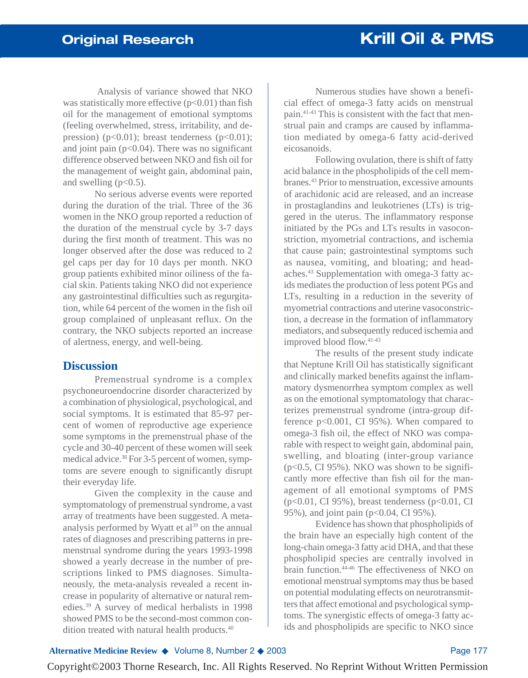Analysis of variance showed that NKO was statistically more effective  $(p<0.01)$  than fish oil for the management of emotional symptoms (feeling overwhelmed, stress, irritability, and depression) ( $p<0.01$ ); breast tenderness ( $p<0.01$ ); and joint pain  $(p<0.04)$ . There was no significant difference observed between NKO and fish oil for the management of weight gain, abdominal pain, and swelling  $(p<0.5)$ .

No serious adverse events were reported during the duration of the trial. Three of the 36 women in the NKO group reported a reduction of the duration of the menstrual cycle by 3-7 days during the first month of treatment. This was no longer observed after the dose was reduced to 2 gel caps per day for 10 days per month. NKO group patients exhibited minor oiliness of the facial skin. Patients taking NKO did not experience any gastrointestinal difficulties such as regurgitation, while 64 percent of the women in the fish oil group complained of unpleasant reflux. On the contrary, the NKO subjects reported an increase of alertness, energy, and well-being.

### **Discussion**

Premenstrual syndrome is a complex psychoneuroendocrine disorder characterized by a combination of physiological, psychological, and social symptoms. It is estimated that 85-97 percent of women of reproductive age experience some symptoms in the premenstrual phase of the cycle and 30-40 percent of these women will seek medical advice.<sup>38</sup> For 3-5 percent of women, symptoms are severe enough to significantly disrupt their everyday life.

Given the complexity in the cause and symptomatology of premenstrual syndrome, a vast array of treatments have been suggested. A metaanalysis performed by Wyatt et al<sup>39</sup> on the annual rates of diagnoses and prescribing patterns in premenstrual syndrome during the years 1993-1998 showed a yearly decrease in the number of prescriptions linked to PMS diagnoses. Simultaneously, the meta-analysis revealed a recent increase in popularity of alternative or natural remedies.39 A survey of medical herbalists in 1998 showed PMS to be the second-most common condition treated with natural health products.<sup>40</sup>

Numerous studies have shown a beneficial effect of omega-3 fatty acids on menstrual pain.41-43 This is consistent with the fact that menstrual pain and cramps are caused by inflammation mediated by omega-6 fatty acid-derived eicosanoids.

Following ovulation, there is shift of fatty acid balance in the phospholipids of the cell membranes.43 Prior to menstruation, excessive amounts of arachidonic acid are released, and an increase in prostaglandins and leukotrienes (LTs) is triggered in the uterus. The inflammatory response initiated by the PGs and LTs results in vasoconstriction, myometrial contractions, and ischemia that cause pain; gastrointestinal symptoms such as nausea, vomiting, and bloating; and headaches.43 Supplementation with omega-3 fatty acids mediates the production of less potent PGs and LTs, resulting in a reduction in the severity of myometrial contractions and uterine vasoconstriction, a decrease in the formation of inflammatory mediators, and subsequently reduced ischemia and improved blood flow.41-43

The results of the present study indicate that Neptune Krill Oil has statistically significant and clinically marked benefits against the inflammatory dysmenorrhea symptom complex as well as on the emotional symptomatology that characterizes premenstrual syndrome (intra-group difference p<0.001, CI 95%). When compared to omega-3 fish oil, the effect of NKO was comparable with respect to weight gain, abdominal pain, swelling, and bloating (inter-group variance (p<0.5, CI 95%). NKO was shown to be significantly more effective than fish oil for the management of all emotional symptoms of PMS  $(p<0.01, CI 95%)$ , breast tenderness  $(p<0.01, CI)$ 95%), and joint pain (p<0.04, CI 95%).

Evidence has shown that phospholipids of the brain have an especially high content of the long-chain omega-3 fatty acid DHA, and that these phospholipid species are centrally involved in brain function.<sup>44-46</sup> The effectiveness of NKO on emotional menstrual symptoms may thus be based on potential modulating effects on neurotransmitters that affect emotional and psychological symptoms. The synergistic effects of omega-3 fatty acids and phospholipids are specific to NKO since

**Alternative Medicine Review ◆ Volume 8, Number 2 ◆ 2003** Page 177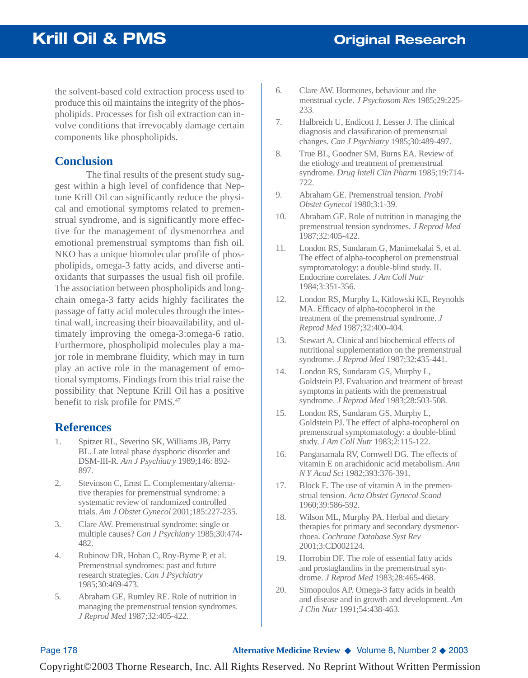the solvent-based cold extraction process used to produce this oil maintains the integrity of the phospholipids. Processes for fish oil extraction can involve conditions that irrevocably damage certain components like phospholipids.

## **Conclusion**

The final results of the present study suggest within a high level of confidence that Neptune Krill Oil can significantly reduce the physical and emotional symptoms related to premenstrual syndrome, and is significantly more effective for the management of dysmenorrhea and emotional premenstrual symptoms than fish oil. NKO has a unique biomolecular profile of phospholipids, omega-3 fatty acids, and diverse antioxidants that surpasses the usual fish oil profile. The association between phospholipids and longchain omega-3 fatty acids highly facilitates the passage of fatty acid molecules through the intestinal wall, increasing their bioavailability, and ultimately improving the omega-3:omega-6 ratio. Furthermore, phospholipid molecules play a major role in membrane fluidity, which may in turn play an active role in the management of emotional symptoms. Findings from this trial raise the possibility that Neptune Krill Oil has a positive benefit to risk profile for PMS.<sup>47</sup>

# **References**

- 1. Spitzer RL, Severino SK, Williams JB, Parry BL. Late luteal phase dysphoric disorder and DSM-III-R. *Am J Psychiatry* 1989;146: 892- 897.
- 2. Stevinson C, Ernst E. Complementary/alternative therapies for premenstrual syndrome: a systematic review of randomized controlled trials. *Am J Obstet Gynecol* 2001;185:227-235.
- 3. Clare AW. Premenstrual syndrome: single or multiple causes? *Can J Psychiatry* 1985;30:474- 482.
- 4. Rubinow DR, Hoban C, Roy-Byrne P, et al. Premenstrual syndromes: past and future research strategies. *Can J Psychiatry* 1985;30:469-473.
- 5. Abraham GE, Rumley RE. Role of nutrition in managing the premenstrual tension syndromes. *J Reprod Med* 1987;32:405-422.
- 6. Clare AW. Hormones, behaviour and the menstrual cycle. *J Psychosom Res* 1985;29:225- 233.
- 7. Halbreich U, Endicott J, Lesser J. The clinical diagnosis and classification of premenstrual changes. *Can J Psychiatry* 1985;30:489-497.
- 8. True BL, Goodner SM, Burns EA. Review of the etiology and treatment of premenstrual syndrome. *Drug Intell Clin Pharm* 1985;19:714- 722.
- 9. Abraham GE. Premenstrual tension. *Probl Obstet Gynecol* 1980;3:1-39.
- 10. Abraham GE. Role of nutrition in managing the premenstrual tension syndromes. *J Reprod Med* 1987;32:405-422.
- 11. London RS, Sundaram G, Manimekalai S, et al. The effect of alpha-tocopherol on premenstrual symptomatology: a double-blind study. II. Endocrine correlates. *J Am Coll Nutr* 1984;3:351-356.
- 12. London RS, Murphy L, Kitlowski KE, Reynolds MA. Efficacy of alpha-tocopherol in the treatment of the premenstrual syndrome. *J Reprod Med* 1987;32:400-404.
- 13. Stewart A. Clinical and biochemical effects of nutritional supplementation on the premenstrual syndrome. *J Reprod Med* 1987;32:435-441.
- 14. London RS, Sundaram GS, Murphy L, Goldstein PJ. Evaluation and treatment of breast symptoms in patients with the premenstrual syndrome. *J Reprod Med* 1983;28:503-508.
- 15. London RS, Sundaram GS, Murphy L, Goldstein PJ. The effect of alpha-tocopherol on premenstrual symptomatology: a double-blind study. *J Am Coll Nutr* 1983;2:115-122.
- 16. Panganamala RV, Cornwell DG. The effects of vitamin E on arachidonic acid metabolism. *Ann N Y Acad Sci* 1982;393:376-391.
- 17. Block E. The use of vitamin A in the premenstrual tension. *Acta Obstet Gynecol Scand* 1960;39:586-592.
- 18. Wilson ML, Murphy PA. Herbal and dietary therapies for primary and secondary dysmenorrhoea. *Cochrane Database Syst Rev* 2001;3:CD002124.
- 19. Horrobin DF. The role of essential fatty acids and prostaglandins in the premenstrual syndrome. *J Reprod Med* 1983;28:465-468.
- 20. Simopoulos AP. Omega-3 fatty acids in health and disease and in growth and development. *Am J Clin Nutr* 1991;54:438-463.